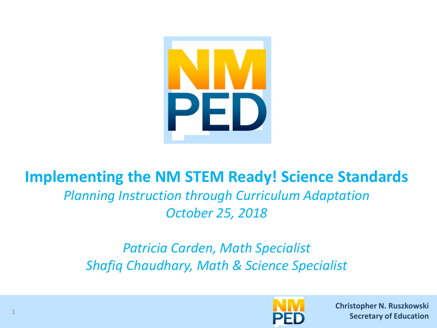

#### **Implementing the NM STEM Ready! Science Standards**

#### *Planning Instruction through Curriculum Adaptation October 25, 2018*

#### *Patricia Carden, Math Specialist Shafiq Chaudhary, Math & Science Specialist*



**Christopher N. Ruszkowski Christopher N. Ruszkowski Secretary of Education Secretary of Education**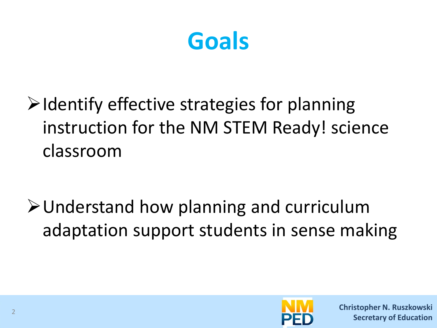

 $\triangleright$  Identify effective strategies for planning instruction for the NM STEM Ready! science classroom

Understand how planning and curriculum adaptation support students in sense making

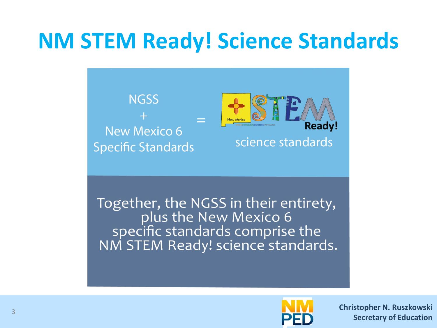### **NM STEM Ready! Science Standards**



Together, the NGSS in their entirety, plus the New Mexico 6 specific standards comprise the NM STEM Ready! science standards.

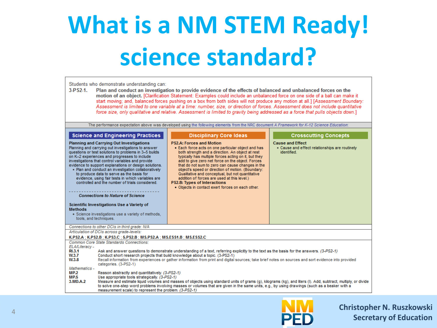# **What is a NM STEM Ready! science standard?**

| Students who demonstrate understanding can:<br>$3-PS2-1.$<br>Plan and conduct an investigation to provide evidence of the effects of balanced and unbalanced forces on the<br>motion of an object. [Clarification Statement: Examples could include an unbalanced force on one side of a ball can make it<br>start moving; and, balanced forces pushing on a box from both sides will not produce any motion at all.] [Assessment Boundary:<br>Assessment is limited to one variable at a time: number, size, or direction of forces. Assessment does not include quantitative<br>force size, only qualitative and relative. Assessment is limited to gravity being addressed as a force that pulls objects down.]                                                                                                                                                                                                                                                                                                                                                                                                                            |                                                                                                                                                                                                                                                                                                                                                                                                                                                                                                                                                                                                                                                                                                                                     |                                                                                                                                                                                                                                                                                                                                                                                                                                                                                                                                                                                                                                                                                                                                              |                                                                                                                          |  |  |  |  |
|-----------------------------------------------------------------------------------------------------------------------------------------------------------------------------------------------------------------------------------------------------------------------------------------------------------------------------------------------------------------------------------------------------------------------------------------------------------------------------------------------------------------------------------------------------------------------------------------------------------------------------------------------------------------------------------------------------------------------------------------------------------------------------------------------------------------------------------------------------------------------------------------------------------------------------------------------------------------------------------------------------------------------------------------------------------------------------------------------------------------------------------------------|-------------------------------------------------------------------------------------------------------------------------------------------------------------------------------------------------------------------------------------------------------------------------------------------------------------------------------------------------------------------------------------------------------------------------------------------------------------------------------------------------------------------------------------------------------------------------------------------------------------------------------------------------------------------------------------------------------------------------------------|----------------------------------------------------------------------------------------------------------------------------------------------------------------------------------------------------------------------------------------------------------------------------------------------------------------------------------------------------------------------------------------------------------------------------------------------------------------------------------------------------------------------------------------------------------------------------------------------------------------------------------------------------------------------------------------------------------------------------------------------|--------------------------------------------------------------------------------------------------------------------------|--|--|--|--|
| <b>Methods</b><br>tools, and techniques.                                                                                                                                                                                                                                                                                                                                                                                                                                                                                                                                                                                                                                                                                                                                                                                                                                                                                                                                                                                                                                                                                                      | <b>Science and Engineering Practices</b><br><b>Planning and Carrying Out Investigations</b><br>Planning and carrying out investigations to answer<br>questions or test solutions to problems in 3-5 builds<br>on K-2 experiences and progresses to include<br>investigations that control variables and provide<br>evidence to support explanations or design solutions.<br>• Plan and conduct an investigation collaboratively<br>to produce data to serve as the basis for<br>evidence, using fair tests in which variables are<br>controlled and the number of trials considered.<br><b>Connections to Nature of Science</b><br>Scientific Investigations Use a Variety of<br>· Science investigations use a variety of methods. | The performance expectation above was developed using the following elements from the NRC document A Framework for K-12 Science Education:<br><b>Disciplinary Core Ideas</b><br><b>PS2.A: Forces and Motion</b><br>. Each force acts on one particular object and has<br>both strength and a direction. An object at rest<br>typically has multiple forces acting on it, but they<br>add to give zero net force on the object. Forces<br>that do not sum to zero can cause changes in the<br>object's speed or direction of motion. (Boundary:<br>Qualitative and conceptual, but not quantitative<br>addition of forces are used at this level.)<br><b>PS2.B: Types of Interactions</b><br>. Objects in contact exert forces on each other. | <b>Crosscutting Concepts</b><br><b>Cause and Effect</b><br>• Cause and effect relationships are routinely<br>identified. |  |  |  |  |
|                                                                                                                                                                                                                                                                                                                                                                                                                                                                                                                                                                                                                                                                                                                                                                                                                                                                                                                                                                                                                                                                                                                                               | Connections to other DCIs in third grade: N/A                                                                                                                                                                                                                                                                                                                                                                                                                                                                                                                                                                                                                                                                                       |                                                                                                                                                                                                                                                                                                                                                                                                                                                                                                                                                                                                                                                                                                                                              |                                                                                                                          |  |  |  |  |
|                                                                                                                                                                                                                                                                                                                                                                                                                                                                                                                                                                                                                                                                                                                                                                                                                                                                                                                                                                                                                                                                                                                                               | Articulation of DCIs across grade-levels:                                                                                                                                                                                                                                                                                                                                                                                                                                                                                                                                                                                                                                                                                           |                                                                                                                                                                                                                                                                                                                                                                                                                                                                                                                                                                                                                                                                                                                                              |                                                                                                                          |  |  |  |  |
| K.PS2.A ; K.PS2.B ; K.PS3.C ; 5.PS2.B ; MS.PS2.A ; MS.ESS1.B ; MS.ESS2.C<br>Common Core State Standards Connections:<br>ELA/Literacy -<br><b>RI.3.1</b><br>Ask and answer questions to demonstrate understanding of a text, referring explicitly to the text as the basis for the answers. (3-PS2-1)<br>Conduct short research projects that build knowledge about a topic. (3-PS2-1)<br>W.3.7<br>W <sub>.3.8</sub><br>Recall information from experiences or gather information from print and digital sources; take brief notes on sources and sort evidence into provided<br>categories. (3-PS2-1)<br>Mathematics -<br><b>MP.2</b><br>Reason abstractly and quantitatively. (3-PS2-1)<br>MP.5<br>Use appropriate tools strategically. (3-PS2-1)<br>3.MD.A.2<br>Measure and estimate liquid volumes and masses of objects using standard units of grams (g), kilograms (kg), and liters (l). Add, subtract, multiply, or divide<br>to solve one-step word problems involving masses or volumes that are given in the same units, e.g., by using drawings (such as a beaker with a<br>measurement scale) to represent the problem. (3-PS2-1) |                                                                                                                                                                                                                                                                                                                                                                                                                                                                                                                                                                                                                                                                                                                                     |                                                                                                                                                                                                                                                                                                                                                                                                                                                                                                                                                                                                                                                                                                                                              |                                                                                                                          |  |  |  |  |

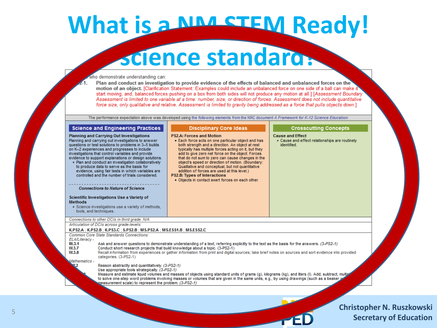### What is a NM STEM Ready!

### **science standard?**

#### ho demonstrate understanding can:

Plan and conduct an investigation to provide evidence of the effects of balanced and unbalanced forces on the motion of an object. [Clarification Statement: Examples could include an unbalanced force on one side of a ball can make it start moving; and, balanced forces pushing on a box from both sides will not produce any motion at all.] [Assessment Boundary: Assessment is limited to one variable at a time: number, size, or direction of forces. Assessment does not include quantitative force size, only qualitative and relative. Assessment is limited to gravity being addressed as a force that pulls objects down.]

The performance expectation above was developed using the following elements from the NRC document A Framework for K-12 Science Education:

| <b>Science and Engineering Practices</b>                                                                                                                                                                                                                                                                                                                                                                                                                                                                                                                                                                                                                                                                                                                                                                                                                                                                                                                                                                                                                                                   | <b>Disciplinary Core Ideas</b>                                                                                                                                                                                                                                                                                                                                                                                                                                                                                                                               | <b>Crosscutting Concepts</b>                                                             |  |  |  |  |  |
|--------------------------------------------------------------------------------------------------------------------------------------------------------------------------------------------------------------------------------------------------------------------------------------------------------------------------------------------------------------------------------------------------------------------------------------------------------------------------------------------------------------------------------------------------------------------------------------------------------------------------------------------------------------------------------------------------------------------------------------------------------------------------------------------------------------------------------------------------------------------------------------------------------------------------------------------------------------------------------------------------------------------------------------------------------------------------------------------|--------------------------------------------------------------------------------------------------------------------------------------------------------------------------------------------------------------------------------------------------------------------------------------------------------------------------------------------------------------------------------------------------------------------------------------------------------------------------------------------------------------------------------------------------------------|------------------------------------------------------------------------------------------|--|--|--|--|--|
| <b>Planning and Carrying Out Investigations</b><br>Planning and carrying out investigations to answer<br>questions or test solutions to problems in 3-5 builds<br>on K-2 experiences and progresses to include<br>investigations that control variables and provide<br>evidence to support explanations or design solutions.<br>• Plan and conduct an investigation collaboratively<br>to produce data to serve as the basis for<br>evidence, using fair tests in which variables are<br>controlled and the number of trials considered.<br><b>Connections to Nature of Science</b><br>Scientific Investigations Use a Variety of<br><b>Methods</b><br>• Science investigations use a variety of methods.<br>tools, and techniques.                                                                                                                                                                                                                                                                                                                                                        | <b>PS2.A: Forces and Motion</b><br>• Each force acts on one particular object and has<br>both strength and a direction. An object at rest<br>typically has multiple forces acting on it, but they<br>add to give zero net force on the object. Forces<br>that do not sum to zero can cause changes in the<br>object's speed or direction of motion. (Boundary:<br>Qualitative and conceptual, but not quantitative<br>addition of forces are used at this level.)<br><b>PS2.B: Types of Interactions</b><br>. Objects in contact exert forces on each other. | <b>Cause and Effect</b><br>• Cause and effect relationships are routinely<br>identified. |  |  |  |  |  |
| Connections to other DCIs in third grade: N/A                                                                                                                                                                                                                                                                                                                                                                                                                                                                                                                                                                                                                                                                                                                                                                                                                                                                                                                                                                                                                                              |                                                                                                                                                                                                                                                                                                                                                                                                                                                                                                                                                              |                                                                                          |  |  |  |  |  |
| Articulation of DCIs across grade-levels:                                                                                                                                                                                                                                                                                                                                                                                                                                                                                                                                                                                                                                                                                                                                                                                                                                                                                                                                                                                                                                                  |                                                                                                                                                                                                                                                                                                                                                                                                                                                                                                                                                              |                                                                                          |  |  |  |  |  |
| K.PS2.A : K.PS2.B : K.PS3.C : 5.PS2.B : MS.PS2.A : MS.ESS1.B : MS.ESS2.C<br>Common Core State Standards Connections:<br>ELA/Literacy -<br><b>RI.3.1</b><br>Ask and answer questions to demonstrate understanding of a text, referring explicitly to the text as the basis for the answers. (3-PS2-1)<br>Conduct short research projects that build knowledge about a topic. (3-PS2-1)<br>W.3.7<br>W <sub>0.3.8</sub><br>Recall information from experiences or gather information from print and digital sources; take brief notes on sources and sort evidence into provided<br>categories. (3-PS2-1)<br>Mathematics -<br>Reason abstractly and quantitatively. (3-PS2-1)<br>Use appropriate tools strategically. (3-PS2-1)<br>Measure and estimate liquid volumes and masses of objects using standard units of grams (q), kilograms (kg), and liters (I). Add, subtract, multipl<br>to solve one-step word problems involving masses or volumes that are given in the same units, e.g., by using drawings (such as a beaker y<br>measurement scale) to represent the problem. (3-PS2-1) |                                                                                                                                                                                                                                                                                                                                                                                                                                                                                                                                                              |                                                                                          |  |  |  |  |  |
|                                                                                                                                                                                                                                                                                                                                                                                                                                                                                                                                                                                                                                                                                                                                                                                                                                                                                                                                                                                                                                                                                            |                                                                                                                                                                                                                                                                                                                                                                                                                                                                                                                                                              |                                                                                          |  |  |  |  |  |

**Christopher N. Ruszkowski**

**Secretary of Education**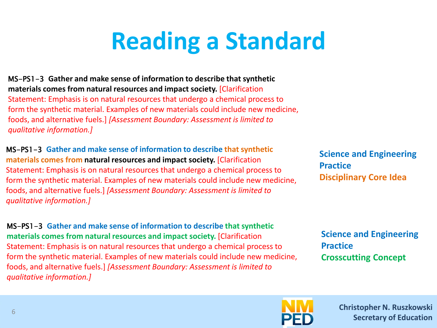# **Reading a Standard**

MS-PS1-3 **Gather and make sense of information to describe that synthetic materials comes from natural resources and impact society.** [Clarification Statement: Emphasis is on natural resources that undergo a chemical process to form the synthetic material. Examples of new materials could include new medicine, foods, and alternative fuels.] *[Assessment Boundary: Assessment is limited to qualitative information.]*

MS-PS1-3 **Gather and make sense of information to describe that synthetic materials comes from natural resources and impact society.** [Clarification Statement: Emphasis is on natural resources that undergo a chemical process to form the synthetic material. Examples of new materials could include new medicine, foods, and alternative fuels.] *[Assessment Boundary: Assessment is limited to qualitative information.]*

MS-PS1-3 **Gather and make sense of information to describe that synthetic materials comes from natural resources and impact society.** [Clarification Statement: Emphasis is on natural resources that undergo a chemical process to form the synthetic material. Examples of new materials could include new medicine, foods, and alternative fuels.] *[Assessment Boundary: Assessment is limited to qualitative information.]*

**Science and Engineering Practice Disciplinary Core Idea**

**Science and Engineering Practice Crosscutting Concept**

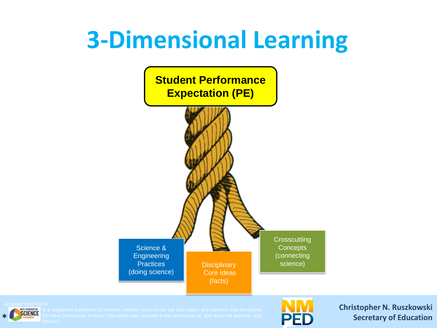### **3-Dimensional Learning**



**Christopher N. Ruszkowski Secretary of Education**

**SCIENCE** Is a registered trademark of Achieve. Neither Achieve hor the lead states and partners that developed<br>**SCIENCE** the Next Generation Science Standards was involved in the production of, and does not endorse, this

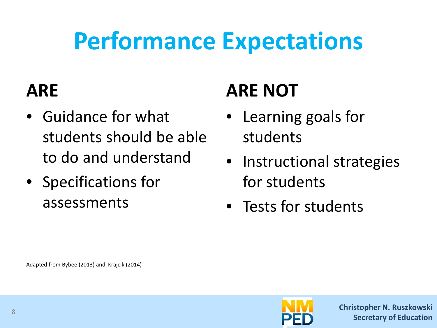# **Performance Expectations**

#### **ARE**

- Guidance for what students should be able to do and understand
- Specifications for assessments

#### **ARE NOT**

- Learning goals for students
- Instructional strategies for students
- Tests for students

Adapted from Bybee (2013) and Krajcik (2014)

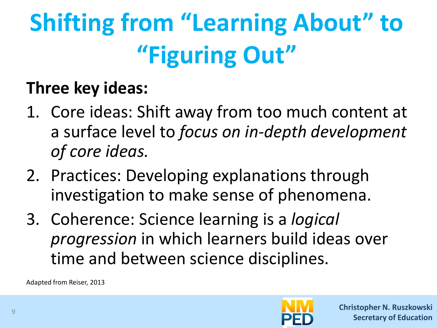# **Shifting from "Learning About" to "Figuring Out"**

#### **Three key ideas:**

- 1. Core ideas: Shift away from too much content at a surface level to *focus on in-depth development of core ideas.*
- 2. Practices: Developing explanations through investigation to make sense of phenomena.
- 3. Coherence: Science learning is a *logical progression* in which learners build ideas over time and between science disciplines.

Adapted from Reiser, 2013

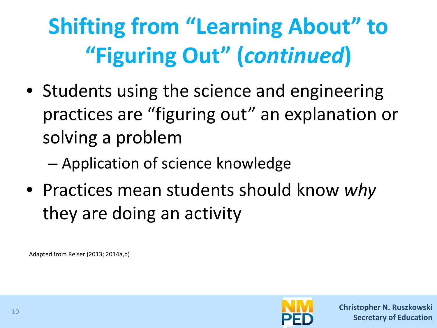# **Shifting from "Learning About" to "Figuring Out" (***continued***)**

- Students using the science and engineering practices are "figuring out" an explanation or solving a problem
	- Application of science knowledge
- Practices mean students should know *why* they are doing an activity

Adapted from Reiser (2013; 2014a,b)

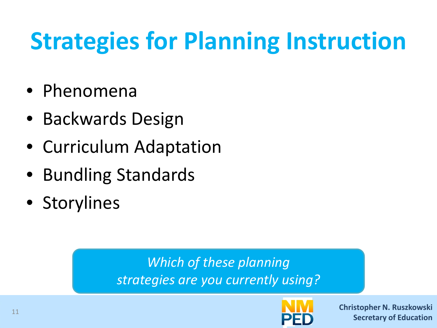# **Strategies for Planning Instruction**

- Phenomena
- Backwards Design
- Curriculum Adaptation
- Bundling Standards
- Storylines

*Which of these planning strategies are you currently using?*

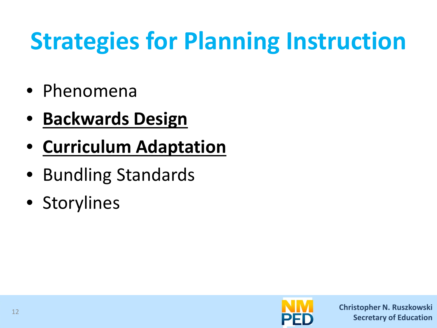# **Strategies for Planning Instruction**

- Phenomena
- **Backwards Design**
- **Curriculum Adaptation**
- Bundling Standards
- Storylines

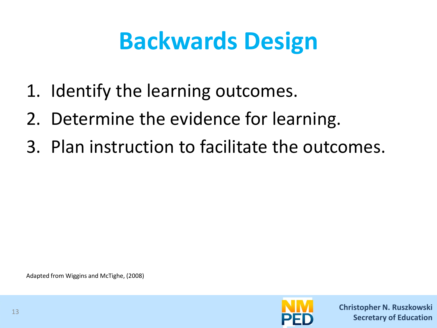# **Backwards Design**

- 1. Identify the learning outcomes.
- 2. Determine the evidence for learning.
- 3. Plan instruction to facilitate the outcomes.

Adapted from Wiggins and McTighe, (2008)

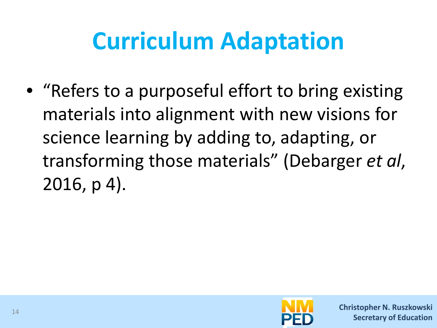# **Curriculum Adaptation**

• "Refers to a purposeful effort to bring existing materials into alignment with new visions for science learning by adding to, adapting, or transforming those materials" (Debarger *et al*, 2016, p 4).

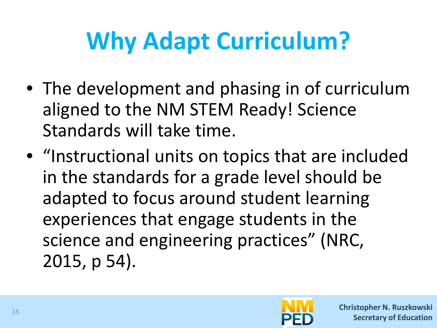# **Why Adapt Curriculum?**

- The development and phasing in of curriculum aligned to the NM STEM Ready! Science Standards will take time.
- "Instructional units on topics that are included in the standards for a grade level should be adapted to focus around student learning experiences that engage students in the science and engineering practices" (NRC, 2015, p 54).

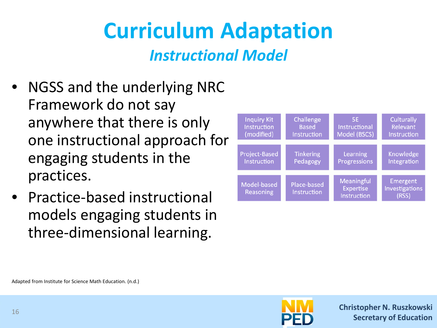# **Curriculum Adaptation**

*Instructional Model*

- NGSS and the underlying NRC Framework do not say anywhere that there is only one instructional approach for engaging students in the practices.
- Practice-based instructional models engaging students in three-dimensional learning.



Adapted from Institute for Science Math Education. (n.d.)

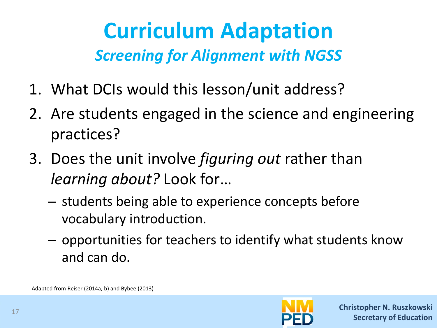#### **Curriculum Adaptation** *Screening for Alignment with NGSS*

- 1. What DCIs would this lesson/unit address?
- 2. Are students engaged in the science and engineering practices?
- 3. Does the unit involve *figuring out* rather than *learning about?* Look for…
	- students being able to experience concepts before vocabulary introduction.
	- opportunities for teachers to identify what students know and can do.

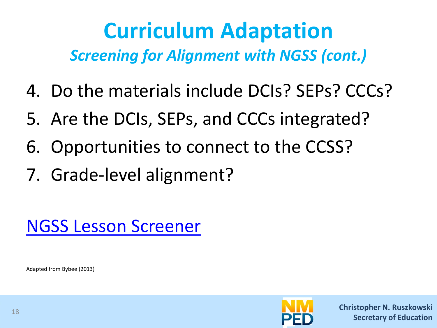#### **Curriculum Adaptation** *Screening for Alignment with NGSS (cont.)*

- 4. Do the materials include DCIs? SEPs? CCCs?
- 5. Are the DCIs, SEPs, and CCCs integrated?
- 6. Opportunities to connect to the CCSS?
- 7. Grade-level alignment?



Adapted from Bybee (2013)

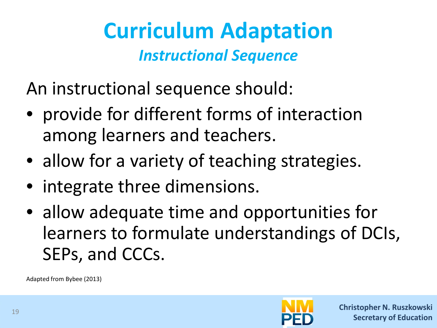#### **Curriculum Adaptation** *Instructional Sequence*

An instructional sequence should:

- provide for different forms of interaction among learners and teachers.
- allow for a variety of teaching strategies.
- integrate three dimensions.
- allow adequate time and opportunities for learners to formulate understandings of DCIs, SEPs, and CCCs.

Adapted from Bybee (2013)

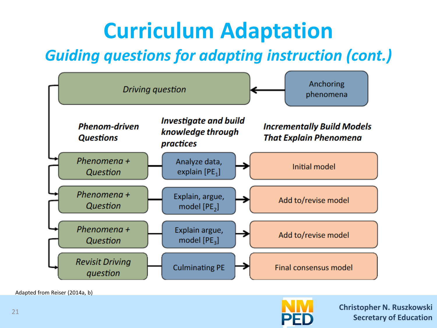# **Curriculum Adaptation**

#### *Guiding questions for adapting instruction (cont.)*



Adapted from Reiser (2014a, b)

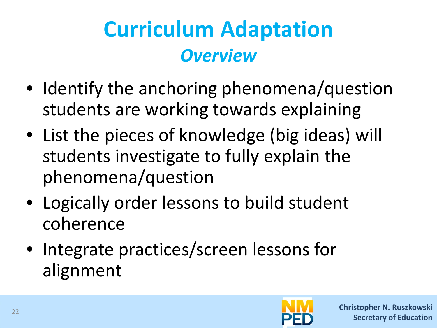### **Curriculum Adaptation** *Overview*

- Identify the anchoring phenomena/question students are working towards explaining
- List the pieces of knowledge (big ideas) will students investigate to fully explain the phenomena/question
- Logically order lessons to build student coherence
- Integrate practices/screen lessons for alignment

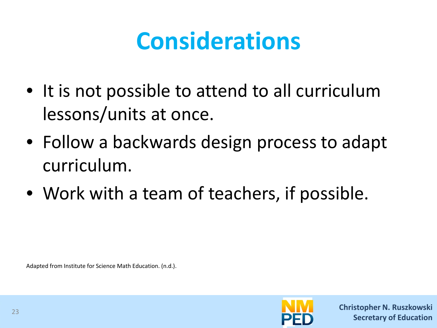## **Considerations**

- It is not possible to attend to all curriculum lessons/units at once.
- Follow a backwards design process to adapt curriculum.
- Work with a team of teachers, if possible.

Adapted from Institute for Science Math Education. (n.d.).

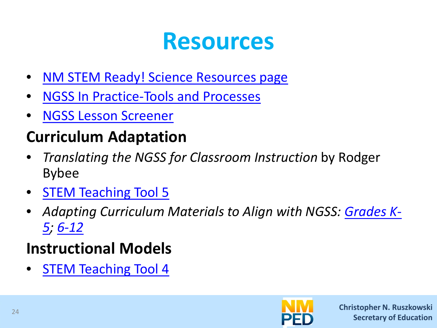#### **Resources**

- **NM STEM Ready! Science Resources page**
- [NGSS In Practice-Tools and Processes](https://www.wested.org/wp-content/uploads/2018/05/resource-next-generation-science-standards-in-practice.pdf#page=52)
- [NGSS Lesson Screener](https://www.nextgenscience.org/sites/default/files/NGSSScreeningTool-2.pdf)

#### **Curriculum Adaptation**

- *Translating the NGSS for Classroom Instruction* by Rodger Bybee
- **[STEM Teaching Tool 5](http://stemteachingtools.org/brief/5)**
- *[Adapting Curriculum Materials to Align with NGSS: Grades K-](http://www.academia.edu/7006107/Adapting_Curriculum_Materials_to_Align_with_NGSS_Grades_K-5)5; [6-12](http://www.academia.edu/7006111/Adapting_Curriculum_Materials_to_Align_With_NGSS_Grades_6-12)*

#### **Instructional Models**

• [STEM Teaching Tool 4](http://stemteachingtools.org/brief/4)

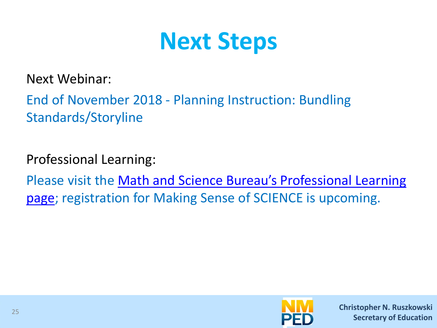

Next Webinar:

End of November 2018 - Planning Instruction: Bundling Standards/Storyline

Professional Learning:

[Please visit the Math and Science Bureau's Professional Learning](http://webnew.ped.state.nm.us/bureaus/math-science/professional-learning/) page; registration for Making Sense of SCIENCE is upcoming.

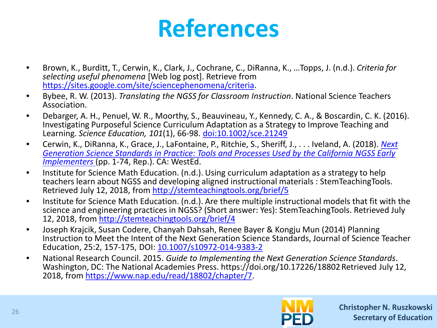### **References**

- Brown, K., Burditt, T., Cerwin, K., Clark, J., Cochrane, C., DiRanna, K., …Topps, J. (n.d.). *Criteria for selecting useful phenomena* [Web log post]. Retrieve from [https://sites.google.com/site/sciencephenomena/criteria.](https://sites.google.com/site/sciencephenomena/criteria)
- Bybee, R. W. (2013). *Translating the NGSS for Classroom Instruction*. National Science Teachers Association.
- Debarger, A. H., Penuel, W. R., Moorthy, S., Beauvineau, Y., Kennedy, C. A., & Boscardin, C. K. (2016). Investigating Purposeful Science Curriculum Adaptation as a Strategy to Improve Teaching and Learning. *Science Education, 101*(1), 66-98. [doi:10.1002/sce.21249](https://onlinelibrary.wiley.com/doi/pdf/10.1002/sce.21249)
- Cerwin, K., DiRanna, K., Grace, J., LaFontaine, P., Ritchie, S., Sheriff, J., . . . Iveland, A. (2018). *Next [Generation Science Standards in Practice: Tools and Processes Used by the California NGSS Early](https://www.wested.org/resources/next-generation-science-standards-in-practice/)  Implementers* (pp. 1-74, Rep.). CA: WestEd.
- Institute for Science Math Education. (n.d.). Using curriculum adaptation as a strategy to help teachers learn about NGSS an[d developing aligned instructional ma](http://stemteachingtools.org/brief/5)terials : StemTeachingTools.<br>Retrieved July 12, 2018, from<http://stemteachingtools.org/brief/5>
- Institute for Science Math Education. (n.d.). Are there multiple instructional models that fit with the science and engineering practices in NGSS? (Short answer: Yes): StemTeachingTools. Retrieved July 12, 2018, from<http://stemteachingtools.org/brief/4>
- Joseph Krajcik, Susan Codere, Chanyah Dahsah, Renee Bayer & Kongju Mun (2014) Planning Instruction to Meet the Intent of the Next Generation Science Standards, Journal of Science Teacher Education, 25:2, 157-175, DOI: [10.1007/s10972-014-9383-2](https://doi.org/10.1007/s10972-014-9383-2)
- National Research Council. 2015. *Guide to Implementing the Next Generation Science Standards*. Washington, DC: The National Academies Press. https://doi.org/10.17226/18802.Retrieved July 12, 2018, from <https://www.nap.edu/read/18802/chapter/7>.